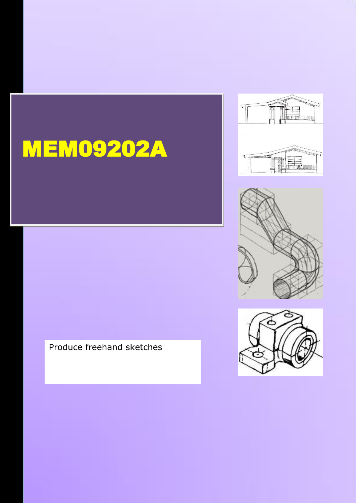

2012





Produce freehand sketches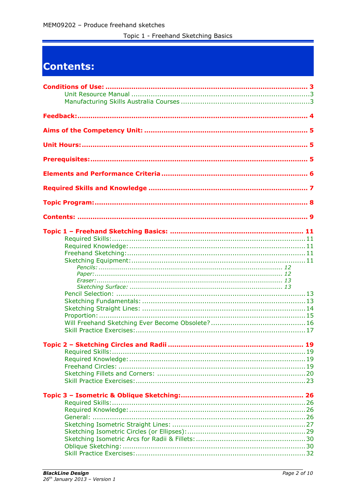Topic 1 - Freehand Sketching Basics

# Contents: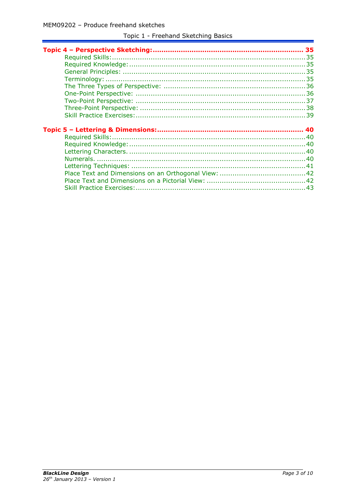| 43 |
|----|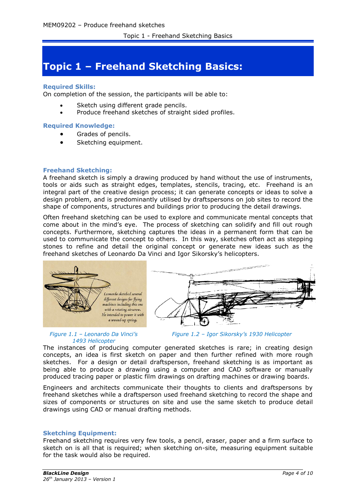# **Topic 1 – Freehand Sketching Basics:**

# **Required Skills:**

On completion of the session, the participants will be able to:

- Sketch using different grade pencils.
- Produce freehand sketches of straight sided profiles.

# **Required Knowledge:**

- Grades of pencils.
- Sketching equipment.

# **Freehand Sketching:**

A freehand sketch is simply a drawing produced by hand without the use of instruments, tools or aids such as straight edges, templates, stencils, tracing, etc. Freehand is an integral part of the creative design process; it can generate concepts or ideas to solve a design problem, and is predominantly utilised by draftspersons on job sites to record the shape of components, structures and buildings prior to producing the detail drawings.

Often freehand sketching can be used to explore and communicate mental concepts that come about in the mind's eye. The process of sketching can solidify and fill out rough concepts. Furthermore, sketching captures the ideas in a permanent form that can be used to communicate the concept to others. In this way, sketches often act as stepping stones to refine and detail the original concept or generate new ideas such as the freehand sketches of Leonardo Da Vinci and Igor Sikorsky's helicopters.



#### *Figure 1.1 – Leonardo Da Vinci's 1493 Helicopter*

The instances of producing computer generated sketches is rare; in creating design concepts, an idea is first sketch on paper and then further refined with more rough sketches. For a design or detail draftsperson, freehand sketching is as important as being able to produce a drawing using a computer and CAD software or manually produced tracing paper or plastic film drawings on drafting machines or drawing boards.

Engineers and architects communicate their thoughts to clients and draftspersons by freehand sketches while a draftsperson used freehand sketching to record the shape and sizes of components or structures on site and use the same sketch to produce detail drawings using CAD or manual drafting methods.

# **Sketching Equipment:**

Freehand sketching requires very few tools, a pencil, eraser, paper and a firm surface to sketch on is all that is required; when sketching on-site, measuring equipment suitable for the task would also be required.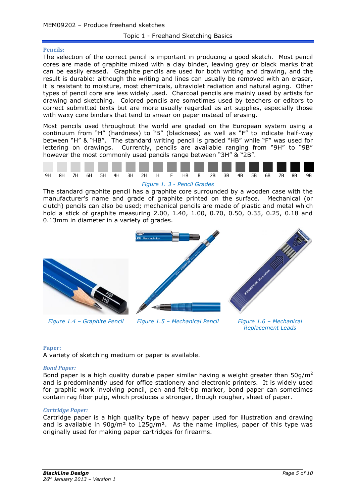#### **Pencils:**

The selection of the correct pencil is important in producing a good sketch. Most pencil cores are made of graphite mixed with a clay binder, leaving grey or black marks that can be easily erased. Graphite pencils are used for both writing and drawing, and the result is durable: although the writing and lines can usually be removed with an eraser, it is resistant to moisture, most chemicals, ultraviolet radiation and natural aging. Other types of pencil core are less widely used. Charcoal pencils are mainly used by artists for drawing and sketching. Colored pencils are sometimes used by teachers or editors to correct submitted texts but are more usually regarded as art supplies, especially those with waxy core binders that tend to smear on paper instead of erasing.

Most pencils used throughout the world are graded on the European system using a continuum from "H" (hardness) to "B" (blackness) as well as "F" to indicate half-way between "H" & "HB". The standard writing pencil is graded "HB" while "F" was used for lettering on drawings. Currently, pencils are available ranging from "9H" to "9B" however the most commonly used pencils range between "3H" & "2B".



#### *Figure 1. 3 - Pencil Grades*

The standard graphite pencil has a graphite core surrounded by a wooden case with the manufacturer's name and grade of graphite printed on the surface. Mechanical (or clutch) pencils can also be used; mechanical pencils are made of plastic and metal which hold a stick of graphite measuring 2.00, 1.40, 1.00, 0.70, 0.50, 0.35, 0.25, 0.18 and 0.13mm in diameter in a variety of grades.



Factor of Miller

*Figure 1.4 – Graphite Pencil Figure 1.5 – Mechanical Pencil Figure 1.6 – Mechanical* 

*Replacement Leads*

# **Paper:**

A variety of sketching medium or paper is available.

#### *Bond Paper:*

Bond paper is a high quality durable paper similar having a weight greater than  $50q/m^2$ and is predominantly used for office stationery and electronic printers. It is widely used for graphic work involving pencil, pen and felt-tip marker, bond paper can sometimes contain rag fiber pulp, which produces a stronger, though rougher, sheet of paper.

# *Cartridge Paper:*

Cartridge paper is a high quality type of heavy paper used for illustration and drawing and is available in  $90q/m^2$  to  $125q/m^2$ . As the name implies, paper of this type was originally used for making paper cartridges for firearms.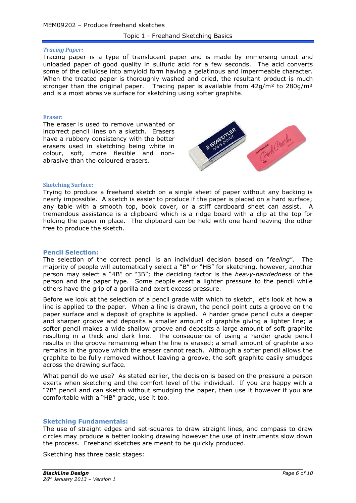#### *Tracing Paper:*

Tracing paper is a type of translucent paper and is made by immersing uncut and unloaded paper of good quality in sulfuric acid for a few seconds. The acid converts some of the cellulose into amyloid form having a gelatinous and impermeable character. When the treated paper is thoroughly washed and dried, the resultant product is much stronger than the original paper. Tracing paper is available from  $42g/m^2$  to  $280g/m^2$ and is a most abrasive surface for sketching using softer graphite.

#### **Eraser:**

The eraser is used to remove unwanted or incorrect pencil lines on a sketch. Erasers have a rubbery consistency with the better erasers used in sketching being white in colour, soft, more flexible and nonabrasive than the coloured erasers.



#### **Sketching Surface:**

Trying to produce a freehand sketch on a single sheet of paper without any backing is nearly impossible. A sketch is easier to produce if the paper is placed on a hard surface; any table with a smooth top, book cover, or a stiff cardboard sheet can assist. A tremendous assistance is a clipboard which is a ridge board with a clip at the top for holding the paper in place. The clipboard can be held with one hand leaving the other free to produce the sketch.

# **Pencil Selection:**

The selection of the correct pencil is an individual decision based on "*feeling*". The majority of people will automatically select a "B" or "HB" for sketching, however, another person may select a "4B" or "3B"; the deciding factor is the *heavy-handedness* of the person and the paper type. Some people exert a lighter pressure to the pencil while others have the grip of a gorilla and exert excess pressure.

Before we look at the selection of a pencil grade with which to sketch, let's look at how a line is applied to the paper. When a line is drawn, the pencil point cuts a groove on the paper surface and a deposit of graphite is applied. A harder grade pencil cuts a deeper and sharper groove and deposits a smaller amount of graphite giving a lighter line; a softer pencil makes a wide shallow groove and deposits a large amount of soft graphite resulting in a thick and dark line. The consequence of using a harder grade pencil results in the groove remaining when the line is erased; a small amount of graphite also remains in the groove which the eraser cannot reach. Although a softer pencil allows the graphite to be fully removed without leaving a groove, the soft graphite easily smudges across the drawing surface.

What pencil do we use? As stated earlier, the decision is based on the pressure a person exerts when sketching and the comfort level of the individual. If you are happy with a "7B" pencil and can sketch without smudging the paper, then use it however if you are comfortable with a "HB" grade, use it too.

# **Sketching Fundamentals:**

The use of straight edges and set-squares to draw straight lines, and compass to draw circles may produce a better looking drawing however the use of instruments slow down the process. Freehand sketches are meant to be quickly produced.

Sketching has three basic stages: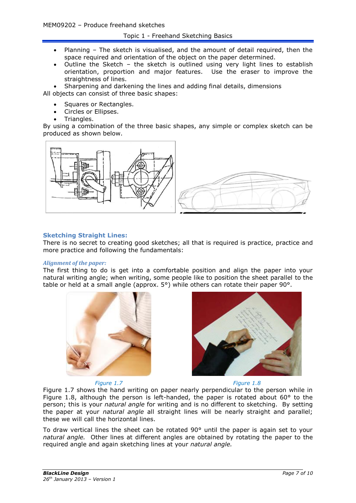# Topic 1 - Freehand Sketching Basics

- Planning The sketch is visualised, and the amount of detail required, then the space required and orientation of the object on the paper determined.
- Outline the Sketch the sketch is outlined using very light lines to establish orientation, proportion and major features. Use the eraser to improve the straightness of lines.

 Sharpening and darkening the lines and adding final details, dimensions All objects can consist of three basic shapes:

- Squares or Rectangles.
- Circles or Ellipses.
- Triangles.

By using a combination of the three basic shapes, any simple or complex sketch can be produced as shown below.



# **Sketching Straight Lines:**

There is no secret to creating good sketches; all that is required is practice, practice and more practice and following the fundamentals:

#### *Alignment of the paper:*

The first thing to do is get into a comfortable position and align the paper into your natural writing angle; when writing, some people like to position the sheet parallel to the table or held at a small angle (approx. 5°) while others can rotate their paper 90°.



*Figure 1.7 Figure 1.8*

<span id="page-6-1"></span>

<span id="page-6-0"></span>[Figure 1.7](#page-6-0) shows the hand writing on paper nearly perpendicular to the person while in [Figure 1.8,](#page-6-1) although the person is left-handed, the paper is rotated about  $60^{\circ}$  to the person; this is your *natural angle* for writing and is no different to sketching. By setting the paper at your *natural angle* all straight lines will be nearly straight and parallel; these we will call the horizontal lines.

To draw vertical lines the sheet can be rotated  $90^\circ$  until the paper is again set to your *natural angle.* Other lines at different angles are obtained by rotating the paper to the required angle and again sketching lines at your *natural angle.*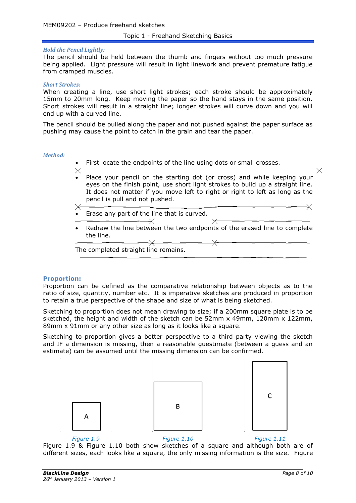# *Hold the Pencil Lightly:*

The pencil should be held between the thumb and fingers without too much pressure being applied. Light pressure will result in light linework and prevent premature fatigue from cramped muscles.

#### *Short Strokes:*

When creating a line, use short light strokes; each stroke should be approximately 15mm to 20mm long. Keep moving the paper so the hand stays in the same position. Short strokes will result in a straight line; longer strokes will curve down and you will end up with a curved line.

The pencil should be pulled along the paper and not pushed against the paper surface as pushing may cause the point to catch in the grain and tear the paper.

#### *Method:*

- First locate the endpoints of the line using dots or small crosses.
- X
- Place your pencil on the starting dot (or cross) and while keeping your eyes on the finish point, use short light strokes to build up a straight line. It does not matter if you move left to right or right to left as long as the pencil is pull and not pushed.
- Erase any part of the line that is curved.

 $\prec$ 

 Redraw the line between the two endpoints of the erased line to complete the line.

The completed straight line remains.

# **Proportion:**

Proportion can be defined as the comparative relationship between objects as to the ratio of size, quantity, number etc. It is imperative sketches are produced in proportion to retain a true perspective of the shape and size of what is being sketched.

Sketching to proportion does not mean drawing to size; if a 200mm square plate is to be sketched, the height and width of the sketch can be 52mm x 49mm, 120mm x 122mm, 89mm x 91mm or any other size as long as it looks like a square.

Sketching to proportion gives a better perspective to a third party viewing the sketch and IF a dimension is missing, then a reasonable guestimate (between a guess and an estimate) can be assumed until the missing dimension can be confirmed.







Δ

<span id="page-7-2"></span><span id="page-7-1"></span>

*Figure 1.9 Figure 1.10 Figure 1.11*

<span id="page-7-0"></span>[Figure 1.9](#page-7-0) & [Figure 1.10](#page-7-1) both show sketches of a square and although both are of different sizes, each looks like a square, the only missing information is the size. [Figure](#page-7-2) 

X

 $\times$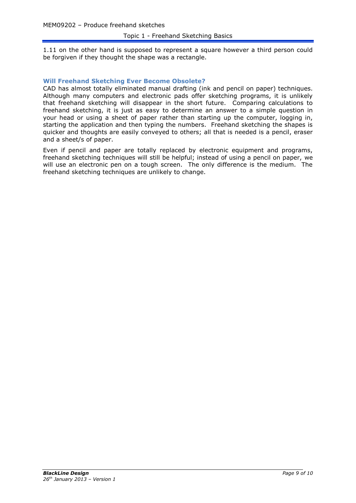[1.11](#page-7-2) on the other hand is supposed to represent a square however a third person could be forgiven if they thought the shape was a rectangle.

# **Will Freehand Sketching Ever Become Obsolete?**

CAD has almost totally eliminated manual drafting (ink and pencil on paper) techniques. Although many computers and electronic pads offer sketching programs, it is unlikely that freehand sketching will disappear in the short future. Comparing calculations to freehand sketching, it is just as easy to determine an answer to a simple question in your head or using a sheet of paper rather than starting up the computer, logging in, starting the application and then typing the numbers. Freehand sketching the shapes is quicker and thoughts are easily conveyed to others; all that is needed is a pencil, eraser and a sheet/s of paper.

Even if pencil and paper are totally replaced by electronic equipment and programs, freehand sketching techniques will still be helpful; instead of using a pencil on paper, we will use an electronic pen on a tough screen. The only difference is the medium. The freehand sketching techniques are unlikely to change.